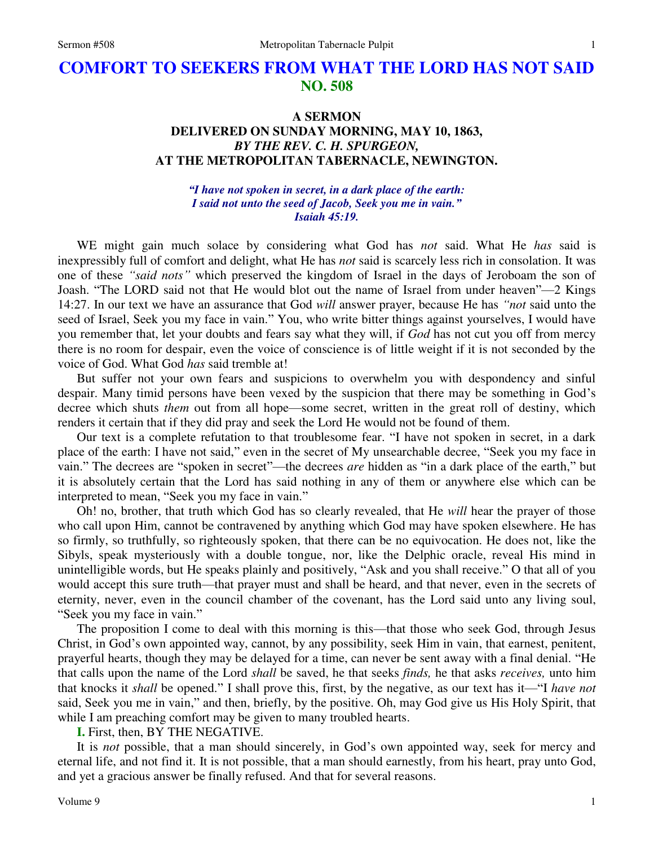## **COMFORT TO SEEKERS FROM WHAT THE LORD HAS NOT SAID NO. 508**

## **A SERMON DELIVERED ON SUNDAY MORNING, MAY 10, 1863,**  *BY THE REV. C. H. SPURGEON,*  **AT THE METROPOLITAN TABERNACLE, NEWINGTON.**

## *"I have not spoken in secret, in a dark place of the earth: I said not unto the seed of Jacob, Seek you me in vain." Isaiah 45:19.*

WE might gain much solace by considering what God has *not* said. What He *has* said is inexpressibly full of comfort and delight, what He has *not* said is scarcely less rich in consolation. It was one of these *"said nots"* which preserved the kingdom of Israel in the days of Jeroboam the son of Joash. "The LORD said not that He would blot out the name of Israel from under heaven"—2 Kings 14:27. In our text we have an assurance that God *will* answer prayer, because He has *"not* said unto the seed of Israel, Seek you my face in vain." You, who write bitter things against yourselves, I would have you remember that, let your doubts and fears say what they will, if *God* has not cut you off from mercy there is no room for despair, even the voice of conscience is of little weight if it is not seconded by the voice of God. What God *has* said tremble at!

But suffer not your own fears and suspicions to overwhelm you with despondency and sinful despair. Many timid persons have been vexed by the suspicion that there may be something in God's decree which shuts *them* out from all hope—some secret, written in the great roll of destiny, which renders it certain that if they did pray and seek the Lord He would not be found of them.

Our text is a complete refutation to that troublesome fear. "I have not spoken in secret, in a dark place of the earth: I have not said," even in the secret of My unsearchable decree, "Seek you my face in vain." The decrees are "spoken in secret"—the decrees *are* hidden as "in a dark place of the earth," but it is absolutely certain that the Lord has said nothing in any of them or anywhere else which can be interpreted to mean, "Seek you my face in vain."

Oh! no, brother, that truth which God has so clearly revealed, that He *will* hear the prayer of those who call upon Him, cannot be contravened by anything which God may have spoken elsewhere. He has so firmly, so truthfully, so righteously spoken, that there can be no equivocation. He does not, like the Sibyls, speak mysteriously with a double tongue, nor, like the Delphic oracle, reveal His mind in unintelligible words, but He speaks plainly and positively, "Ask and you shall receive." O that all of you would accept this sure truth—that prayer must and shall be heard, and that never, even in the secrets of eternity, never, even in the council chamber of the covenant, has the Lord said unto any living soul, "Seek you my face in vain."

The proposition I come to deal with this morning is this—that those who seek God, through Jesus Christ, in God's own appointed way, cannot, by any possibility, seek Him in vain, that earnest, penitent, prayerful hearts, though they may be delayed for a time, can never be sent away with a final denial. "He that calls upon the name of the Lord *shall* be saved, he that seeks *finds,* he that asks *receives,* unto him that knocks it *shall* be opened." I shall prove this, first, by the negative, as our text has it—"I *have not*  said, Seek you me in vain," and then, briefly, by the positive. Oh, may God give us His Holy Spirit, that while I am preaching comfort may be given to many troubled hearts.

**I.** First, then, BY THE NEGATIVE.

It is *not* possible, that a man should sincerely, in God's own appointed way, seek for mercy and eternal life, and not find it. It is not possible, that a man should earnestly, from his heart, pray unto God, and yet a gracious answer be finally refused. And that for several reasons.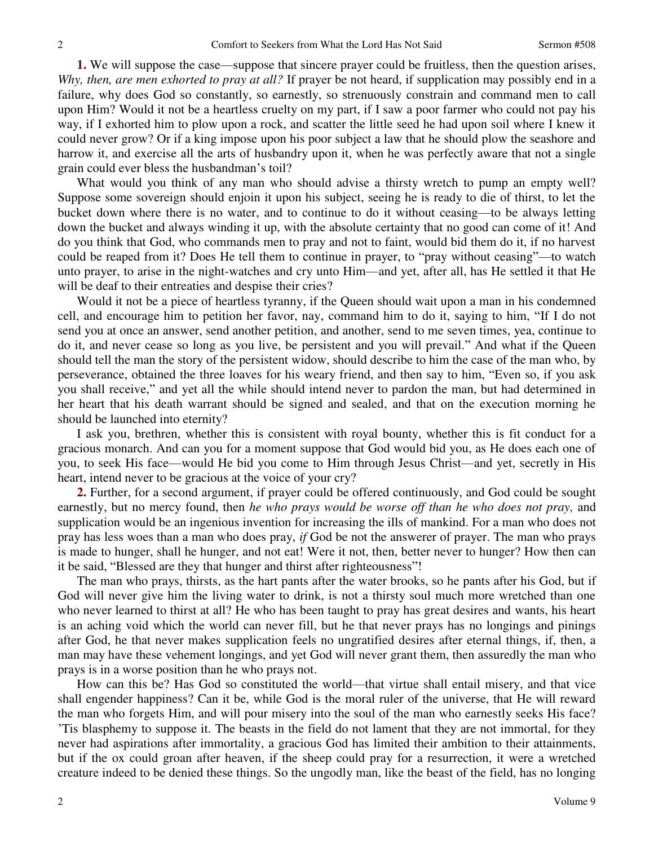**1.** We will suppose the case—suppose that sincere prayer could be fruitless, then the question arises, *Why, then, are men exhorted to pray at all?* If prayer be not heard, if supplication may possibly end in a failure, why does God so constantly, so earnestly, so strenuously constrain and command men to call upon Him? Would it not be a heartless cruelty on my part, if I saw a poor farmer who could not pay his way, if I exhorted him to plow upon a rock, and scatter the little seed he had upon soil where I knew it could never grow? Or if a king impose upon his poor subject a law that he should plow the seashore and harrow it, and exercise all the arts of husbandry upon it, when he was perfectly aware that not a single grain could ever bless the husbandman's toil?

What would you think of any man who should advise a thirsty wretch to pump an empty well? Suppose some sovereign should enjoin it upon his subject, seeing he is ready to die of thirst, to let the bucket down where there is no water, and to continue to do it without ceasing—to be always letting down the bucket and always winding it up, with the absolute certainty that no good can come of it! And do you think that God, who commands men to pray and not to faint, would bid them do it, if no harvest could be reaped from it? Does He tell them to continue in prayer, to "pray without ceasing"—to watch unto prayer, to arise in the night-watches and cry unto Him—and yet, after all, has He settled it that He will be deaf to their entreaties and despise their cries?

Would it not be a piece of heartless tyranny, if the Queen should wait upon a man in his condemned cell, and encourage him to petition her favor, nay, command him to do it, saying to him, "If I do not send you at once an answer, send another petition, and another, send to me seven times, yea, continue to do it, and never cease so long as you live, be persistent and you will prevail." And what if the Queen should tell the man the story of the persistent widow, should describe to him the case of the man who, by perseverance, obtained the three loaves for his weary friend, and then say to him, "Even so, if you ask you shall receive," and yet all the while should intend never to pardon the man, but had determined in her heart that his death warrant should be signed and sealed, and that on the execution morning he should be launched into eternity?

I ask you, brethren, whether this is consistent with royal bounty, whether this is fit conduct for a gracious monarch. And can you for a moment suppose that God would bid you, as He does each one of you, to seek His face—would He bid you come to Him through Jesus Christ—and yet, secretly in His heart, intend never to be gracious at the voice of your cry?

**2.** Further, for a second argument, if prayer could be offered continuously, and God could be sought earnestly, but no mercy found, then *he who prays would be worse off than he who does not pray,* and supplication would be an ingenious invention for increasing the ills of mankind. For a man who does not pray has less woes than a man who does pray, *if* God be not the answerer of prayer. The man who prays is made to hunger, shall he hunger, and not eat! Were it not, then, better never to hunger? How then can it be said, "Blessed are they that hunger and thirst after righteousness"!

The man who prays, thirsts, as the hart pants after the water brooks, so he pants after his God, but if God will never give him the living water to drink, is not a thirsty soul much more wretched than one who never learned to thirst at all? He who has been taught to pray has great desires and wants, his heart is an aching void which the world can never fill, but he that never prays has no longings and pinings after God, he that never makes supplication feels no ungratified desires after eternal things, if, then, a man may have these vehement longings, and yet God will never grant them, then assuredly the man who prays is in a worse position than he who prays not.

How can this be? Has God so constituted the world—that virtue shall entail misery, and that vice shall engender happiness? Can it be, while God is the moral ruler of the universe, that He will reward the man who forgets Him, and will pour misery into the soul of the man who earnestly seeks His face? 'Tis blasphemy to suppose it. The beasts in the field do not lament that they are not immortal, for they never had aspirations after immortality, a gracious God has limited their ambition to their attainments, but if the ox could groan after heaven, if the sheep could pray for a resurrection, it were a wretched creature indeed to be denied these things. So the ungodly man, like the beast of the field, has no longing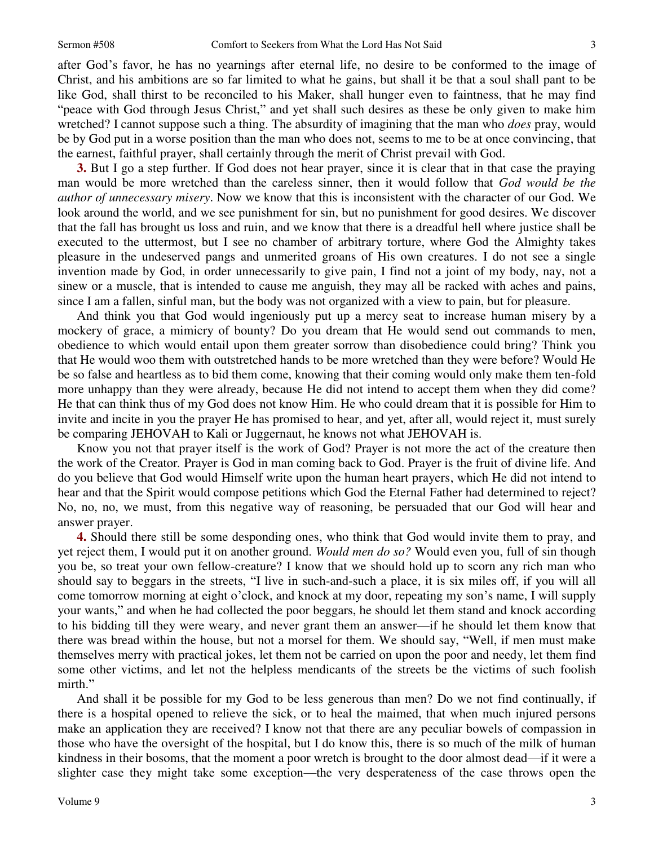after God's favor, he has no yearnings after eternal life, no desire to be conformed to the image of Christ, and his ambitions are so far limited to what he gains, but shall it be that a soul shall pant to be like God, shall thirst to be reconciled to his Maker, shall hunger even to faintness, that he may find "peace with God through Jesus Christ," and yet shall such desires as these be only given to make him wretched? I cannot suppose such a thing. The absurdity of imagining that the man who *does* pray, would be by God put in a worse position than the man who does not, seems to me to be at once convincing, that the earnest, faithful prayer, shall certainly through the merit of Christ prevail with God.

**3.** But I go a step further. If God does not hear prayer, since it is clear that in that case the praying man would be more wretched than the careless sinner, then it would follow that *God would be the author of unnecessary misery*. Now we know that this is inconsistent with the character of our God. We look around the world, and we see punishment for sin, but no punishment for good desires. We discover that the fall has brought us loss and ruin, and we know that there is a dreadful hell where justice shall be executed to the uttermost, but I see no chamber of arbitrary torture, where God the Almighty takes pleasure in the undeserved pangs and unmerited groans of His own creatures. I do not see a single invention made by God, in order unnecessarily to give pain, I find not a joint of my body, nay, not a sinew or a muscle, that is intended to cause me anguish, they may all be racked with aches and pains, since I am a fallen, sinful man, but the body was not organized with a view to pain, but for pleasure.

And think you that God would ingeniously put up a mercy seat to increase human misery by a mockery of grace, a mimicry of bounty? Do you dream that He would send out commands to men, obedience to which would entail upon them greater sorrow than disobedience could bring? Think you that He would woo them with outstretched hands to be more wretched than they were before? Would He be so false and heartless as to bid them come, knowing that their coming would only make them ten-fold more unhappy than they were already, because He did not intend to accept them when they did come? He that can think thus of my God does not know Him. He who could dream that it is possible for Him to invite and incite in you the prayer He has promised to hear, and yet, after all, would reject it, must surely be comparing JEHOVAH to Kali or Juggernaut, he knows not what JEHOVAH is.

Know you not that prayer itself is the work of God? Prayer is not more the act of the creature then the work of the Creator*.* Prayer is God in man coming back to God. Prayer is the fruit of divine life. And do you believe that God would Himself write upon the human heart prayers, which He did not intend to hear and that the Spirit would compose petitions which God the Eternal Father had determined to reject? No, no, no, we must, from this negative way of reasoning, be persuaded that our God will hear and answer prayer.

**4.** Should there still be some desponding ones, who think that God would invite them to pray, and yet reject them, I would put it on another ground. *Would men do so?* Would even you, full of sin though you be, so treat your own fellow-creature? I know that we should hold up to scorn any rich man who should say to beggars in the streets, "I live in such-and-such a place, it is six miles off, if you will all come tomorrow morning at eight o'clock, and knock at my door, repeating my son's name, I will supply your wants," and when he had collected the poor beggars, he should let them stand and knock according to his bidding till they were weary, and never grant them an answer—if he should let them know that there was bread within the house, but not a morsel for them. We should say, "Well, if men must make themselves merry with practical jokes, let them not be carried on upon the poor and needy, let them find some other victims, and let not the helpless mendicants of the streets be the victims of such foolish mirth."

And shall it be possible for my God to be less generous than men? Do we not find continually, if there is a hospital opened to relieve the sick, or to heal the maimed, that when much injured persons make an application they are received? I know not that there are any peculiar bowels of compassion in those who have the oversight of the hospital, but I do know this, there is so much of the milk of human kindness in their bosoms, that the moment a poor wretch is brought to the door almost dead—if it were a slighter case they might take some exception—the very desperateness of the case throws open the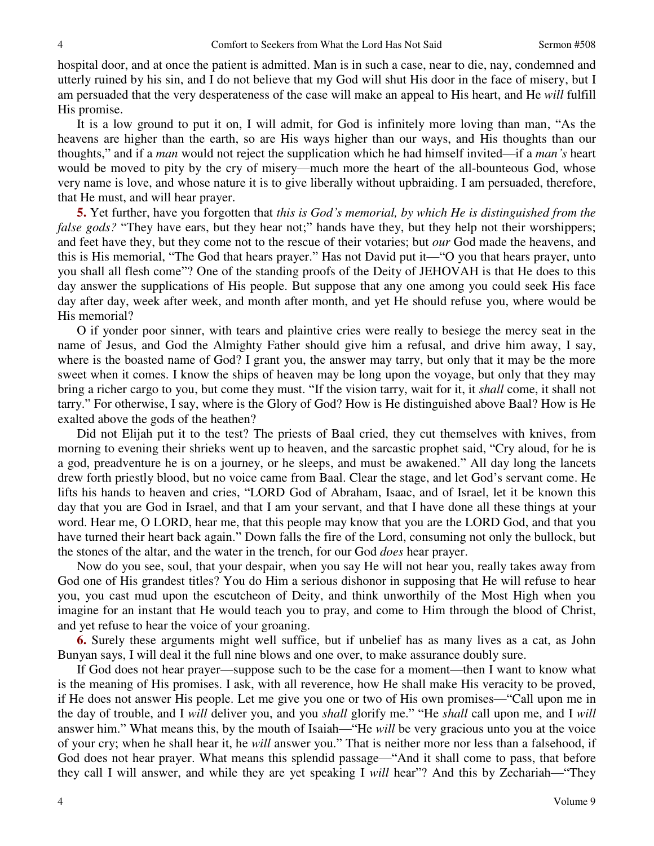hospital door, and at once the patient is admitted. Man is in such a case, near to die, nay, condemned and utterly ruined by his sin, and I do not believe that my God will shut His door in the face of misery, but I am persuaded that the very desperateness of the case will make an appeal to His heart, and He *will* fulfill His promise.

It is a low ground to put it on, I will admit, for God is infinitely more loving than man, "As the heavens are higher than the earth, so are His ways higher than our ways, and His thoughts than our thoughts," and if a *man* would not reject the supplication which he had himself invited—if a *man's* heart would be moved to pity by the cry of misery—much more the heart of the all-bounteous God, whose very name is love, and whose nature it is to give liberally without upbraiding. I am persuaded, therefore, that He must, and will hear prayer.

**5.** Yet further, have you forgotten that *this is God's memorial, by which He is distinguished from the false gods?* "They have ears, but they hear not;" hands have they, but they help not their worshippers; and feet have they, but they come not to the rescue of their votaries; but *our* God made the heavens, and this is His memorial, "The God that hears prayer." Has not David put it—"O you that hears prayer, unto you shall all flesh come"? One of the standing proofs of the Deity of JEHOVAH is that He does to this day answer the supplications of His people. But suppose that any one among you could seek His face day after day, week after week, and month after month, and yet He should refuse you, where would be His memorial?

O if yonder poor sinner, with tears and plaintive cries were really to besiege the mercy seat in the name of Jesus, and God the Almighty Father should give him a refusal, and drive him away, I say, where is the boasted name of God? I grant you, the answer may tarry, but only that it may be the more sweet when it comes. I know the ships of heaven may be long upon the voyage, but only that they may bring a richer cargo to you, but come they must. "If the vision tarry, wait for it, it *shall* come, it shall not tarry." For otherwise, I say, where is the Glory of God? How is He distinguished above Baal? How is He exalted above the gods of the heathen?

Did not Elijah put it to the test? The priests of Baal cried, they cut themselves with knives, from morning to evening their shrieks went up to heaven, and the sarcastic prophet said, "Cry aloud, for he is a god, preadventure he is on a journey, or he sleeps, and must be awakened." All day long the lancets drew forth priestly blood, but no voice came from Baal. Clear the stage, and let God's servant come. He lifts his hands to heaven and cries, "LORD God of Abraham, Isaac, and of Israel, let it be known this day that you are God in Israel, and that I am your servant, and that I have done all these things at your word. Hear me, O LORD, hear me, that this people may know that you are the LORD God, and that you have turned their heart back again." Down falls the fire of the Lord, consuming not only the bullock, but the stones of the altar, and the water in the trench, for our God *does* hear prayer.

Now do you see, soul, that your despair, when you say He will not hear you, really takes away from God one of His grandest titles? You do Him a serious dishonor in supposing that He will refuse to hear you, you cast mud upon the escutcheon of Deity, and think unworthily of the Most High when you imagine for an instant that He would teach you to pray, and come to Him through the blood of Christ, and yet refuse to hear the voice of your groaning.

**6.** Surely these arguments might well suffice, but if unbelief has as many lives as a cat, as John Bunyan says, I will deal it the full nine blows and one over, to make assurance doubly sure.

If God does not hear prayer—suppose such to be the case for a moment—then I want to know what is the meaning of His promises. I ask, with all reverence, how He shall make His veracity to be proved, if He does not answer His people. Let me give you one or two of His own promises—"Call upon me in the day of trouble, and I *will* deliver you, and you *shall* glorify me." "He *shall* call upon me, and I *will*  answer him." What means this, by the mouth of Isaiah—"He *will* be very gracious unto you at the voice of your cry; when he shall hear it, he *will* answer you." That is neither more nor less than a falsehood, if God does not hear prayer. What means this splendid passage—"And it shall come to pass, that before they call I will answer, and while they are yet speaking I *will* hear"? And this by Zechariah—"They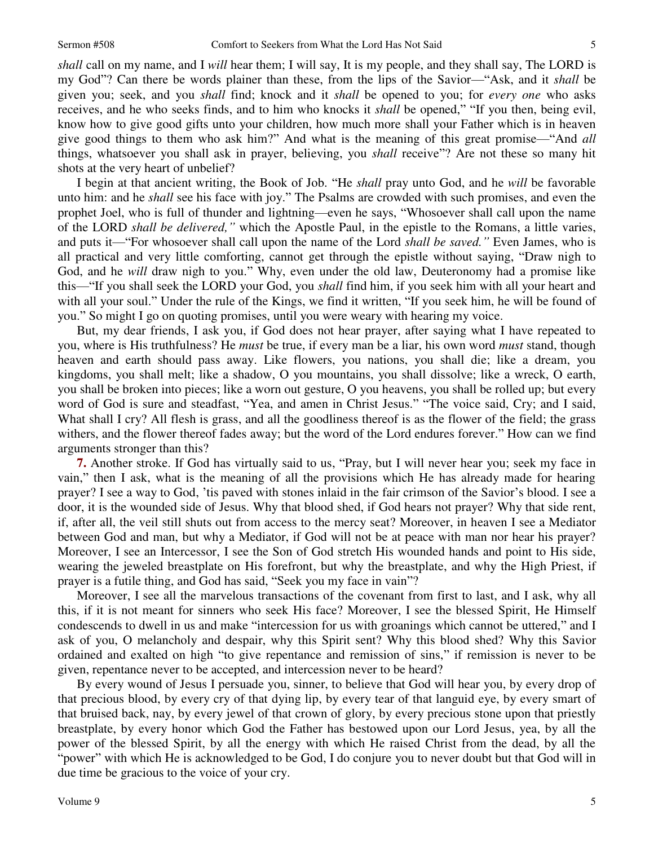*shall* call on my name, and I *will* hear them; I will say, It is my people, and they shall say, The LORD is my God"? Can there be words plainer than these, from the lips of the Savior—"Ask, and it *shall* be given you; seek, and you *shall* find; knock and it *shall* be opened to you; for *every one* who asks receives, and he who seeks finds, and to him who knocks it *shall* be opened," "If you then, being evil, know how to give good gifts unto your children, how much more shall your Father which is in heaven give good things to them who ask him?" And what is the meaning of this great promise—"And *all*  things, whatsoever you shall ask in prayer, believing, you *shall* receive"? Are not these so many hit shots at the very heart of unbelief?

I begin at that ancient writing, the Book of Job. "He *shall* pray unto God, and he *will* be favorable unto him: and he *shall* see his face with joy." The Psalms are crowded with such promises, and even the prophet Joel, who is full of thunder and lightning—even he says, "Whosoever shall call upon the name of the LORD *shall be delivered,"* which the Apostle Paul, in the epistle to the Romans, a little varies, and puts it—"For whosoever shall call upon the name of the Lord *shall be saved."* Even James, who is all practical and very little comforting, cannot get through the epistle without saying, "Draw nigh to God, and he *will* draw nigh to you." Why, even under the old law, Deuteronomy had a promise like this—"If you shall seek the LORD your God, you *shall* find him, if you seek him with all your heart and with all your soul." Under the rule of the Kings, we find it written, "If you seek him, he will be found of you." So might I go on quoting promises, until you were weary with hearing my voice.

But, my dear friends, I ask you, if God does not hear prayer, after saying what I have repeated to you, where is His truthfulness? He *must* be true, if every man be a liar, his own word *must* stand, though heaven and earth should pass away. Like flowers, you nations, you shall die; like a dream, you kingdoms, you shall melt; like a shadow, O you mountains, you shall dissolve; like a wreck, O earth, you shall be broken into pieces; like a worn out gesture, O you heavens, you shall be rolled up; but every word of God is sure and steadfast, "Yea, and amen in Christ Jesus." "The voice said, Cry; and I said, What shall I cry? All flesh is grass, and all the goodliness thereof is as the flower of the field; the grass withers, and the flower thereof fades away; but the word of the Lord endures forever." How can we find arguments stronger than this?

**7.** Another stroke. If God has virtually said to us, "Pray, but I will never hear you; seek my face in vain," then I ask, what is the meaning of all the provisions which He has already made for hearing prayer? I see a way to God, 'tis paved with stones inlaid in the fair crimson of the Savior's blood. I see a door, it is the wounded side of Jesus. Why that blood shed, if God hears not prayer? Why that side rent, if, after all, the veil still shuts out from access to the mercy seat? Moreover, in heaven I see a Mediator between God and man, but why a Mediator, if God will not be at peace with man nor hear his prayer? Moreover, I see an Intercessor, I see the Son of God stretch His wounded hands and point to His side, wearing the jeweled breastplate on His forefront, but why the breastplate, and why the High Priest, if prayer is a futile thing, and God has said, "Seek you my face in vain"?

Moreover, I see all the marvelous transactions of the covenant from first to last, and I ask, why all this, if it is not meant for sinners who seek His face? Moreover, I see the blessed Spirit, He Himself condescends to dwell in us and make "intercession for us with groanings which cannot be uttered," and I ask of you, O melancholy and despair, why this Spirit sent? Why this blood shed? Why this Savior ordained and exalted on high "to give repentance and remission of sins," if remission is never to be given, repentance never to be accepted, and intercession never to be heard?

By every wound of Jesus I persuade you, sinner, to believe that God will hear you, by every drop of that precious blood, by every cry of that dying lip, by every tear of that languid eye, by every smart of that bruised back, nay, by every jewel of that crown of glory, by every precious stone upon that priestly breastplate, by every honor which God the Father has bestowed upon our Lord Jesus, yea, by all the power of the blessed Spirit, by all the energy with which He raised Christ from the dead, by all the "power" with which He is acknowledged to be God, I do conjure you to never doubt but that God will in due time be gracious to the voice of your cry.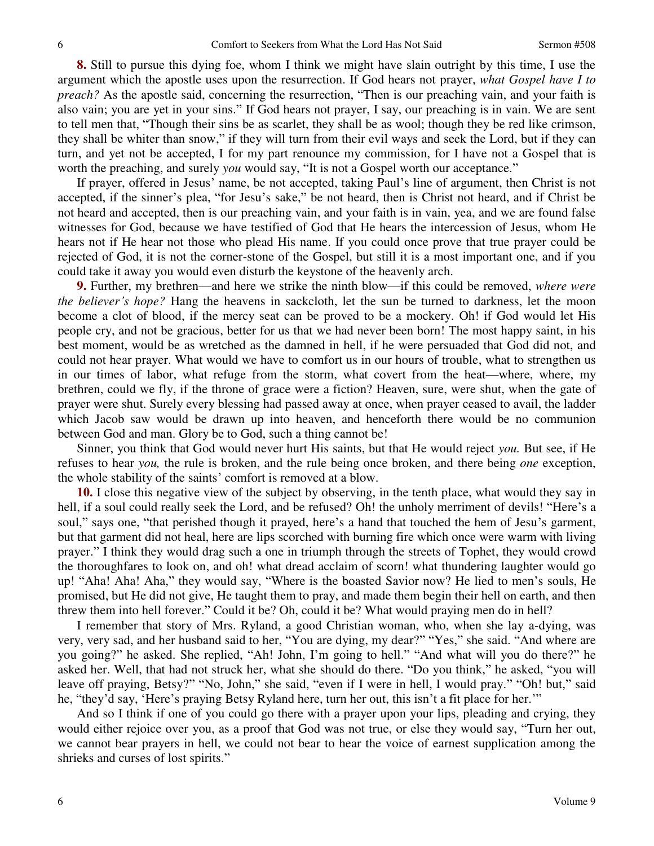**8.** Still to pursue this dying foe, whom I think we might have slain outright by this time, I use the argument which the apostle uses upon the resurrection. If God hears not prayer, *what Gospel have I to preach?* As the apostle said, concerning the resurrection, "Then is our preaching vain, and your faith is also vain; you are yet in your sins." If God hears not prayer, I say, our preaching is in vain. We are sent to tell men that, "Though their sins be as scarlet, they shall be as wool; though they be red like crimson, they shall be whiter than snow," if they will turn from their evil ways and seek the Lord, but if they can turn, and yet not be accepted, I for my part renounce my commission, for I have not a Gospel that is worth the preaching, and surely *you* would say, "It is not a Gospel worth our acceptance."

If prayer, offered in Jesus' name, be not accepted, taking Paul's line of argument, then Christ is not accepted, if the sinner's plea, "for Jesu's sake," be not heard, then is Christ not heard, and if Christ be not heard and accepted, then is our preaching vain, and your faith is in vain, yea, and we are found false witnesses for God, because we have testified of God that He hears the intercession of Jesus, whom He hears not if He hear not those who plead His name. If you could once prove that true prayer could be rejected of God, it is not the corner-stone of the Gospel, but still it is a most important one, and if you could take it away you would even disturb the keystone of the heavenly arch.

**9.** Further, my brethren—and here we strike the ninth blow—if this could be removed, *where were the believer's hope?* Hang the heavens in sackcloth, let the sun be turned to darkness, let the moon become a clot of blood, if the mercy seat can be proved to be a mockery. Oh! if God would let His people cry, and not be gracious, better for us that we had never been born! The most happy saint, in his best moment, would be as wretched as the damned in hell, if he were persuaded that God did not, and could not hear prayer. What would we have to comfort us in our hours of trouble, what to strengthen us in our times of labor, what refuge from the storm, what covert from the heat—where, where, my brethren, could we fly, if the throne of grace were a fiction? Heaven, sure, were shut, when the gate of prayer were shut. Surely every blessing had passed away at once, when prayer ceased to avail, the ladder which Jacob saw would be drawn up into heaven, and henceforth there would be no communion between God and man. Glory be to God, such a thing cannot be!

Sinner, you think that God would never hurt His saints, but that He would reject *you.* But see, if He refuses to hear *you,* the rule is broken, and the rule being once broken, and there being *one* exception, the whole stability of the saints' comfort is removed at a blow.

**10.** I close this negative view of the subject by observing, in the tenth place, what would they say in hell, if a soul could really seek the Lord, and be refused? Oh! the unholy merriment of devils! "Here's a soul," says one, "that perished though it prayed, here's a hand that touched the hem of Jesu's garment, but that garment did not heal, here are lips scorched with burning fire which once were warm with living prayer." I think they would drag such a one in triumph through the streets of Tophet, they would crowd the thoroughfares to look on, and oh! what dread acclaim of scorn! what thundering laughter would go up! "Aha! Aha! Aha," they would say, "Where is the boasted Savior now? He lied to men's souls, He promised, but He did not give, He taught them to pray, and made them begin their hell on earth, and then threw them into hell forever." Could it be? Oh, could it be? What would praying men do in hell?

I remember that story of Mrs. Ryland, a good Christian woman, who, when she lay a-dying, was very, very sad, and her husband said to her, "You are dying, my dear?" "Yes," she said. "And where are you going?" he asked. She replied, "Ah! John, I'm going to hell." "And what will you do there?" he asked her. Well, that had not struck her, what she should do there. "Do you think," he asked, "you will leave off praying, Betsy?" "No, John," she said, "even if I were in hell, I would pray." "Oh! but," said he, "they'd say, 'Here's praying Betsy Ryland here, turn her out, this isn't a fit place for her.'"

And so I think if one of you could go there with a prayer upon your lips, pleading and crying, they would either rejoice over you, as a proof that God was not true, or else they would say, "Turn her out, we cannot bear prayers in hell, we could not bear to hear the voice of earnest supplication among the shrieks and curses of lost spirits."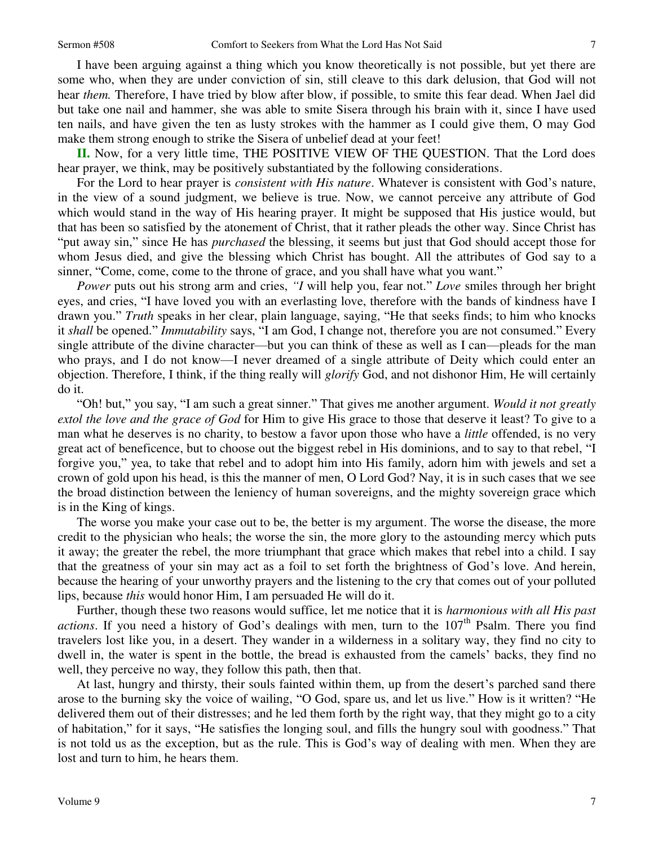I have been arguing against a thing which you know theoretically is not possible, but yet there are some who, when they are under conviction of sin, still cleave to this dark delusion, that God will not hear *them.* Therefore, I have tried by blow after blow, if possible, to smite this fear dead. When Jael did but take one nail and hammer, she was able to smite Sisera through his brain with it, since I have used ten nails, and have given the ten as lusty strokes with the hammer as I could give them, O may God make them strong enough to strike the Sisera of unbelief dead at your feet!

**II.** Now, for a very little time, THE POSITIVE VIEW OF THE QUESTION. That the Lord does hear prayer, we think, may be positively substantiated by the following considerations.

For the Lord to hear prayer is *consistent with His nature*. Whatever is consistent with God's nature, in the view of a sound judgment, we believe is true. Now, we cannot perceive any attribute of God which would stand in the way of His hearing prayer. It might be supposed that His justice would, but that has been so satisfied by the atonement of Christ, that it rather pleads the other way. Since Christ has "put away sin," since He has *purchased* the blessing, it seems but just that God should accept those for whom Jesus died, and give the blessing which Christ has bought. All the attributes of God say to a sinner, "Come, come, come to the throne of grace, and you shall have what you want."

*Power* puts out his strong arm and cries, *"I* will help you, fear not." *Love* smiles through her bright eyes, and cries, "I have loved you with an everlasting love, therefore with the bands of kindness have I drawn you." *Truth* speaks in her clear, plain language, saying, "He that seeks finds; to him who knocks it *shall* be opened." *Immutability* says, "I am God, I change not, therefore you are not consumed." Every single attribute of the divine character—but you can think of these as well as I can—pleads for the man who prays, and I do not know—I never dreamed of a single attribute of Deity which could enter an objection. Therefore, I think, if the thing really will *glorify* God, and not dishonor Him, He will certainly do it.

"Oh! but," you say, "I am such a great sinner." That gives me another argument. *Would it not greatly extol the love and the grace of God* for Him to give His grace to those that deserve it least? To give to a man what he deserves is no charity, to bestow a favor upon those who have a *little* offended, is no very great act of beneficence, but to choose out the biggest rebel in His dominions, and to say to that rebel, "I forgive you," yea, to take that rebel and to adopt him into His family, adorn him with jewels and set a crown of gold upon his head, is this the manner of men, O Lord God? Nay, it is in such cases that we see the broad distinction between the leniency of human sovereigns, and the mighty sovereign grace which is in the King of kings.

The worse you make your case out to be, the better is my argument. The worse the disease, the more credit to the physician who heals; the worse the sin, the more glory to the astounding mercy which puts it away; the greater the rebel, the more triumphant that grace which makes that rebel into a child. I say that the greatness of your sin may act as a foil to set forth the brightness of God's love. And herein, because the hearing of your unworthy prayers and the listening to the cry that comes out of your polluted lips, because *this* would honor Him, I am persuaded He will do it.

Further, though these two reasons would suffice, let me notice that it is *harmonious with all His past*  actions. If you need a history of God's dealings with men, turn to the 107<sup>th</sup> Psalm. There you find travelers lost like you, in a desert. They wander in a wilderness in a solitary way, they find no city to dwell in, the water is spent in the bottle, the bread is exhausted from the camels' backs, they find no well, they perceive no way, they follow this path, then that.

At last, hungry and thirsty, their souls fainted within them, up from the desert's parched sand there arose to the burning sky the voice of wailing, "O God, spare us, and let us live." How is it written? "He delivered them out of their distresses; and he led them forth by the right way, that they might go to a city of habitation," for it says, "He satisfies the longing soul, and fills the hungry soul with goodness." That is not told us as the exception, but as the rule. This is God's way of dealing with men. When they are lost and turn to him, he hears them.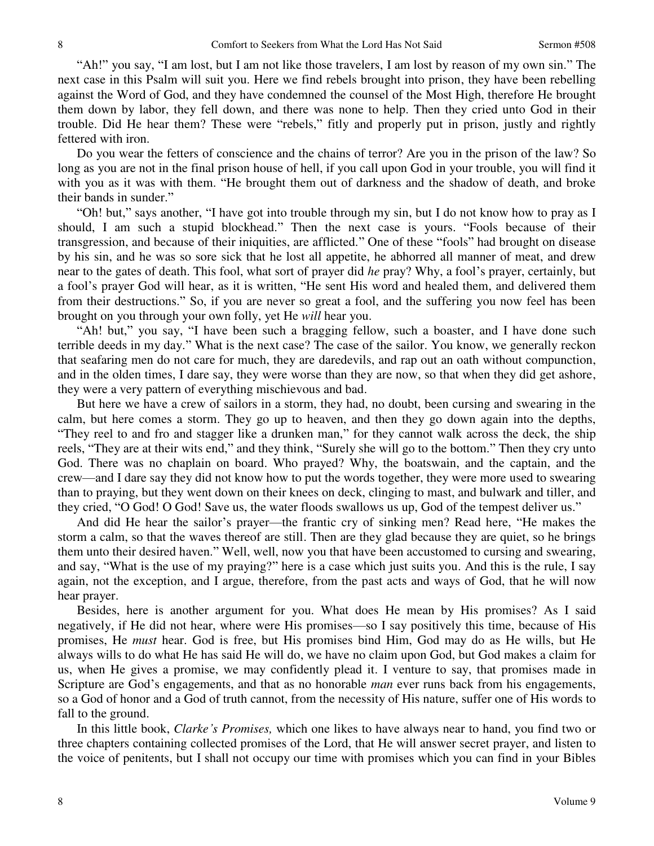"Ah!" you say, "I am lost, but I am not like those travelers, I am lost by reason of my own sin." The next case in this Psalm will suit you. Here we find rebels brought into prison, they have been rebelling against the Word of God, and they have condemned the counsel of the Most High, therefore He brought them down by labor, they fell down, and there was none to help. Then they cried unto God in their trouble. Did He hear them? These were "rebels," fitly and properly put in prison, justly and rightly fettered with iron.

Do you wear the fetters of conscience and the chains of terror? Are you in the prison of the law? So long as you are not in the final prison house of hell, if you call upon God in your trouble, you will find it with you as it was with them. "He brought them out of darkness and the shadow of death, and broke their bands in sunder."

"Oh! but," says another, "I have got into trouble through my sin, but I do not know how to pray as I should, I am such a stupid blockhead." Then the next case is yours. "Fools because of their transgression, and because of their iniquities, are afflicted." One of these "fools" had brought on disease by his sin, and he was so sore sick that he lost all appetite, he abhorred all manner of meat, and drew near to the gates of death. This fool, what sort of prayer did *he* pray? Why, a fool's prayer, certainly, but a fool's prayer God will hear, as it is written, "He sent His word and healed them, and delivered them from their destructions." So, if you are never so great a fool, and the suffering you now feel has been brought on you through your own folly, yet He *will* hear you.

"Ah! but," you say, "I have been such a bragging fellow, such a boaster, and I have done such terrible deeds in my day." What is the next case? The case of the sailor. You know, we generally reckon that seafaring men do not care for much, they are daredevils, and rap out an oath without compunction, and in the olden times, I dare say, they were worse than they are now, so that when they did get ashore, they were a very pattern of everything mischievous and bad.

But here we have a crew of sailors in a storm, they had, no doubt, been cursing and swearing in the calm, but here comes a storm. They go up to heaven, and then they go down again into the depths, "They reel to and fro and stagger like a drunken man," for they cannot walk across the deck, the ship reels, "They are at their wits end," and they think, "Surely she will go to the bottom." Then they cry unto God. There was no chaplain on board. Who prayed? Why, the boatswain, and the captain, and the crew—and I dare say they did not know how to put the words together, they were more used to swearing than to praying, but they went down on their knees on deck, clinging to mast, and bulwark and tiller, and they cried, "O God! O God! Save us, the water floods swallows us up, God of the tempest deliver us."

And did He hear the sailor's prayer—the frantic cry of sinking men? Read here, "He makes the storm a calm, so that the waves thereof are still. Then are they glad because they are quiet, so he brings them unto their desired haven." Well, well, now you that have been accustomed to cursing and swearing, and say, "What is the use of my praying?" here is a case which just suits you. And this is the rule, I say again, not the exception, and I argue, therefore, from the past acts and ways of God, that he will now hear prayer.

Besides, here is another argument for you. What does He mean by His promises? As I said negatively, if He did not hear, where were His promises—so I say positively this time, because of His promises, He *must* hear. God is free, but His promises bind Him, God may do as He wills, but He always wills to do what He has said He will do, we have no claim upon God, but God makes a claim for us, when He gives a promise, we may confidently plead it. I venture to say, that promises made in Scripture are God's engagements, and that as no honorable *man* ever runs back from his engagements, so a God of honor and a God of truth cannot, from the necessity of His nature, suffer one of His words to fall to the ground.

In this little book, *Clarke's Promises,* which one likes to have always near to hand, you find two or three chapters containing collected promises of the Lord, that He will answer secret prayer, and listen to the voice of penitents, but I shall not occupy our time with promises which you can find in your Bibles